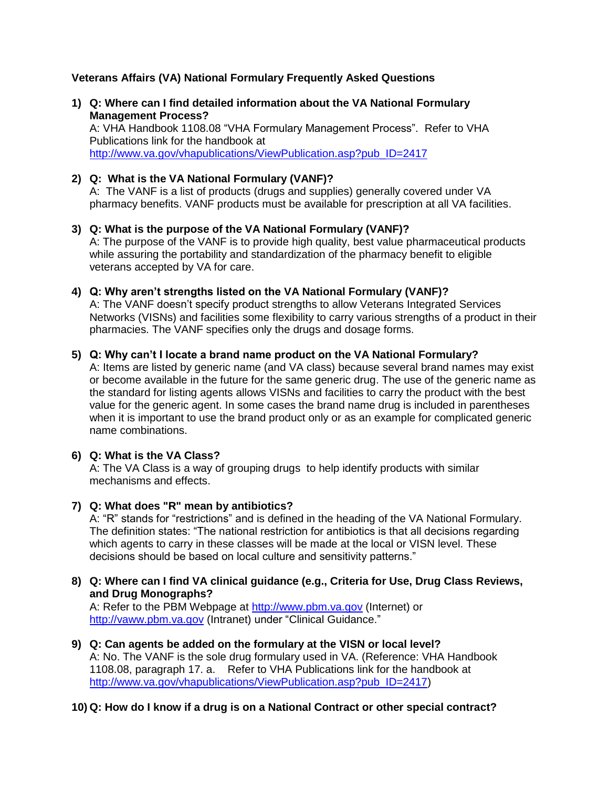# **Veterans Affairs (VA) National Formulary Frequently Asked Questions**

**1) Q: Where can I find detailed information about the VA National Formulary Management Process?**

A: VHA Handbook 1108.08 "VHA Formulary Management Process". Refer to VHA Publications link for the handbook at [http://www.va.gov/vhapublications/ViewPublication.asp?pub\\_ID=2417](http://www.va.gov/vhapublications/ViewPublication.asp?pub_ID=2417)

# **2) Q: What is the VA National Formulary (VANF)?**

A: The VANF is a list of products (drugs and supplies) generally covered under VA pharmacy benefits. VANF products must be available for prescription at all VA facilities.

- **3) Q: What is the purpose of the VA National Formulary (VANF)?** A: The purpose of the VANF is to provide high quality, best value pharmaceutical products while assuring the portability and standardization of the pharmacy benefit to eligible veterans accepted by VA for care.
- **4) Q: Why aren't strengths listed on the VA National Formulary (VANF)?** A: The VANF doesn't specify product strengths to allow Veterans Integrated Services Networks (VISNs) and facilities some flexibility to carry various strengths of a product in their pharmacies. The VANF specifies only the drugs and dosage forms.

### **5) Q: Why can't I locate a brand name product on the VA National Formulary?**

A: Items are listed by generic name (and VA class) because several brand names may exist or become available in the future for the same generic drug. The use of the generic name as the standard for listing agents allows VISNs and facilities to carry the product with the best value for the generic agent. In some cases the brand name drug is included in parentheses when it is important to use the brand product only or as an example for complicated generic name combinations.

# **6) Q: What is the VA Class?**

A: The VA Class is a way of grouping drugs to help identify products with similar mechanisms and effects.

**7) Q: What does "R" mean by antibiotics?**

A: "R" stands for "restrictions" and is defined in the heading of the VA National Formulary. The definition states: "The national restriction for antibiotics is that all decisions regarding which agents to carry in these classes will be made at the local or VISN level. These decisions should be based on local culture and sensitivity patterns."

**8) Q: Where can I find VA clinical guidance (e.g., Criteria for Use, Drug Class Reviews, and Drug Monographs?**

A: Refer to the PBM Webpage at [http://www.pbm.va.gov](http://www.pbm.va.gov/) (Internet) or [http://vaww.pbm.va.gov](http://vaww.pbm.va.gov/) (Intranet) under "Clinical Guidance."

**9) Q: Can agents be added on the formulary at the VISN or local level?** A: No. The VANF is the sole drug formulary used in VA. (Reference: VHA Handbook 1108.08, paragraph 17. a. Refer to VHA Publications link for the handbook at [http://www.va.gov/vhapublications/ViewPublication.asp?pub\\_ID=2417\)](http://www.va.gov/vhapublications/ViewPublication.asp?pub_ID=2417)

# **10) Q: How do I know if a drug is on a National Contract or other special contract?**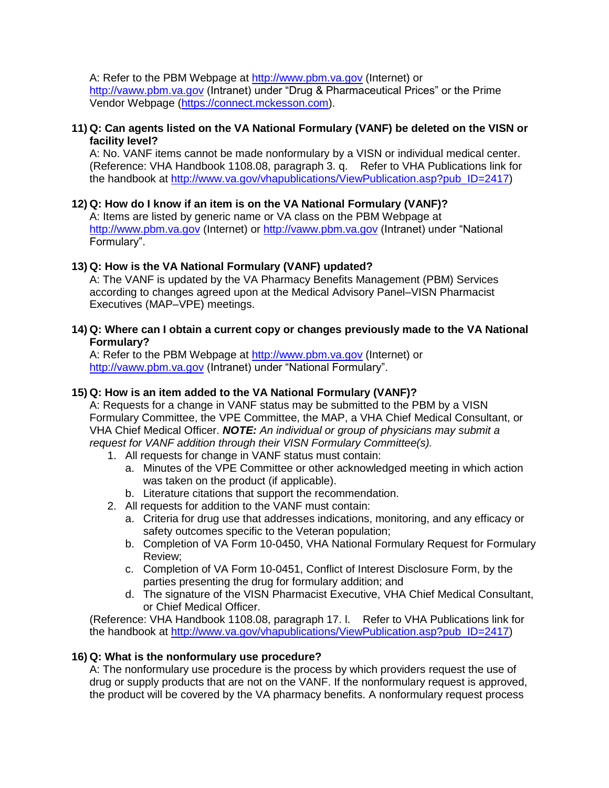A: Refer to the PBM Webpage at [http://www.pbm.va.gov](http://www.pbm.va.gov/) (Internet) or [http://vaww.pbm.va.gov](http://vaww.pbm.va.gov/) (Intranet) under "Drug & Pharmaceutical Prices" or the Prime Vendor Webpage [\(https://connect.mckesson.com\)](https://connect.mckesson.com/portal/site/smo/template.LOGIN/?cid=SMODecom2).

### **11) Q: Can agents listed on the VA National Formulary (VANF) be deleted on the VISN or facility level?**

A: No. VANF items cannot be made nonformulary by a VISN or individual medical center. (Reference: VHA Handbook 1108.08, paragraph 3. q. Refer to VHA Publications link for the handbook at [http://www.va.gov/vhapublications/ViewPublication.asp?pub\\_ID=2417\)](http://www.va.gov/vhapublications/ViewPublication.asp?pub_ID=2417)

# **12) Q: How do I know if an item is on the VA National Formulary (VANF)?**

A: Items are listed by generic name or VA class on the PBM Webpage at [http://www.pbm.va.gov](http://www.pbm.va.gov/) (Internet) or [http://vaww.pbm.va.gov](http://vaww.pbm.va.gov/) (Intranet) under "National Formulary".

# **13) Q: How is the VA National Formulary (VANF) updated?**

A: The VANF is updated by the VA Pharmacy Benefits Management (PBM) Services according to changes agreed upon at the Medical Advisory Panel–VISN Pharmacist Executives (MAP–VPE) meetings.

**14) Q: Where can I obtain a current copy or changes previously made to the VA National Formulary?**

A: Refer to the PBM Webpage at [http://www.pbm.va.gov](http://www.pbm.va.gov/) (Internet) or [http://vaww.pbm.va.gov](http://vaww.pbm.va.gov/) (Intranet) under "National Formulary".

# **15) Q: How is an item added to the VA National Formulary (VANF)?**

A: Requests for a change in VANF status may be submitted to the PBM by a VISN Formulary Committee, the VPE Committee, the MAP, a VHA Chief Medical Consultant, or VHA Chief Medical Officer. *NOTE: An individual or group of physicians may submit a request for VANF addition through their VISN Formulary Committee(s).*

- 1. All requests for change in VANF status must contain:
	- a. Minutes of the VPE Committee or other acknowledged meeting in which action was taken on the product (if applicable).
	- b. Literature citations that support the recommendation.
- 2. All requests for addition to the VANF must contain:
	- a. Criteria for drug use that addresses indications, monitoring, and any efficacy or safety outcomes specific to the Veteran population;
	- b. Completion of VA Form 10-0450, VHA National Formulary Request for Formulary Review;
	- c. Completion of VA Form 10-0451, Conflict of Interest Disclosure Form, by the parties presenting the drug for formulary addition; and
	- d. The signature of the VISN Pharmacist Executive, VHA Chief Medical Consultant, or Chief Medical Officer.

(Reference: VHA Handbook 1108.08, paragraph 17. l. Refer to VHA Publications link for the handbook at [http://www.va.gov/vhapublications/ViewPublication.asp?pub\\_ID=2417\)](http://www.va.gov/vhapublications/ViewPublication.asp?pub_ID=2417)

# **16) Q: What is the nonformulary use procedure?**

A: The nonformulary use procedure is the process by which providers request the use of drug or supply products that are not on the VANF. If the nonformulary request is approved, the product will be covered by the VA pharmacy benefits. A nonformulary request process